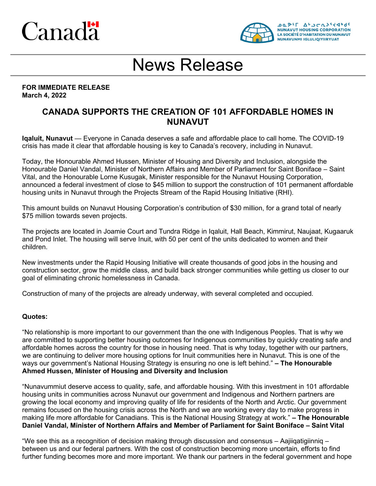# Canadä



## News Release

#### **FOR IMMEDIATE RELEASE March 4, 2022**

### **CANADA SUPPORTS THE CREATION OF 101 AFFORDABLE HOMES IN NUNAVUT**

**Iqaluit, Nunavut** — Everyone in Canada deserves a safe and affordable place to call home. The COVID-19 crisis has made it clear that affordable housing is key to Canada's recovery, including in Nunavut.

Today, the Honourable Ahmed Hussen, Minister of Housing and Diversity and Inclusion, alongside the Honourable Daniel Vandal, Minister of Northern Affairs and Member of Parliament for Saint Boniface – Saint Vital, and the Honourable Lorne Kusugak, Minister responsible for the Nunavut Housing Corporation, announced a federal investment of close to \$45 million to support the construction of 101 permanent affordable housing units in Nunavut through the Projects Stream of the Rapid Housing Initiative (RHI).

This amount builds on Nunavut Housing Corporation's contribution of \$30 million, for a grand total of nearly \$75 million towards seven projects.

The projects are located in Joamie Court and Tundra Ridge in Iqaluit, Hall Beach, Kimmirut, Naujaat, Kugaaruk and Pond Inlet. The housing will serve Inuit, with 50 per cent of the units dedicated to women and their children.

New investments under the Rapid Housing Initiative will create thousands of good jobs in the housing and construction sector, grow the middle class, and build back stronger communities while getting us closer to our goal of eliminating chronic homelessness in Canada.

Construction of many of the projects are already underway, with several completed and occupied.

#### **Quotes:**

"No relationship is more important to our government than the one with Indigenous Peoples. That is why we are committed to supporting better housing outcomes for Indigenous communities by quickly creating safe and affordable homes across the country for those in housing need. That is why today, together with our partners, we are continuing to deliver more housing options for Inuit communities here in Nunavut. This is one of the ways our government's National Housing Strategy is ensuring no one is left behind." **– The Honourable Ahmed Hussen, Minister of Housing and Diversity and Inclusion**

"Nunavummiut deserve access to quality, safe, and affordable housing. With this investment in 101 affordable housing units in communities across Nunavut our government and Indigenous and Northern partners are growing the local economy and improving quality of life for residents of the North and Arctic. Our government remains focused on the housing crisis across the North and we are working every day to make progress in making life more affordable for Canadians. This is the National Housing Strategy at work." **– The Honourable Daniel Vandal, Minister of Northern Affairs and Member of Parliament for Saint Boniface – Saint Vital**

"We see this as a recognition of decision making through discussion and consensus – Aajiiqatigiinniq – between us and our federal partners. With the cost of construction becoming more uncertain, efforts to find further funding becomes more and more important. We thank our partners in the federal government and hope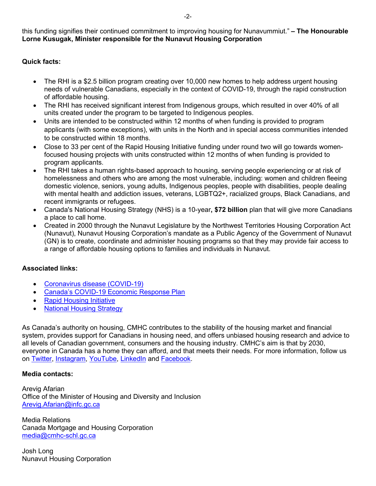this funding signifies their continued commitment to improving housing for Nunavummiut." **– The Honourable Lorne Kusugak, Minister responsible for the Nunavut Housing Corporation**

#### **Quick facts:**

- The RHI is a \$2.5 billion program creating over 10,000 new homes to help address urgent housing needs of vulnerable Canadians, especially in the context of COVID-19, through the rapid construction of affordable housing.
- The RHI has received significant interest from Indigenous groups, which resulted in over 40% of all units created under the program to be targeted to Indigenous peoples.
- Units are intended to be constructed within 12 months of when funding is provided to program applicants (with some exceptions), with units in the North and in special access communities intended to be constructed within 18 months.
- Close to 33 per cent of the Rapid Housing Initiative funding under round two will go towards womenfocused housing projects with units constructed within 12 months of when funding is provided to program applicants.
- The RHI takes a human rights-based approach to housing, serving people experiencing or at risk of homelessness and others who are among the most vulnerable, including: women and children fleeing domestic violence, seniors, young adults, Indigenous peoples, people with disabilities, people dealing with mental health and addiction issues, veterans, LGBTQ2+, racialized groups, Black Canadians, and recent immigrants or refugees.
- Canada's National Housing Strategy (NHS) is a 10-year**, \$72 billion** plan that will give more Canadians a place to call home.
- Created in 2000 through the Nunavut Legislature by the Northwest Territories Housing Corporation Act (Nunavut), Nunavut Housing Corporation's mandate as a Public Agency of the Government of Nunavut (GN) is to create, coordinate and administer housing programs so that they may provide fair access to a range of affordable housing options to families and individuals in Nunavut.

#### **Associated links:**

- [Coronavirus disease \(COVID-19\)](https://www.canada.ca/en/public-health/services/diseases/coronavirus-disease-covid-19.html)
- [Canada's COVID-19 Economic Response Plan](https://www.canada.ca/en/department-finance/economic-response-plan.html)
- [Rapid Housing Initiative](https://www.cmhc.ca/RapidHousing)
- [National Housing Strategy](https://www.cmhc-schl.gc.ca/en/nhs)

As Canada's authority on housing, CMHC contributes to the stability of the housing market and financial system, provides support for Canadians in housing need, and offers unbiased housing research and advice to all levels of Canadian government, consumers and the housing industry. CMHC's aim is that by 2030, everyone in Canada has a home they can afford, and that meets their needs. For more information, follow us on [Twitter,](http://www.twitter.com/CMHC_ca) [Instagram,](https://www.instagram.com/cmhc_schl/) [YouTube,](https://www.youtube.com/user/CMHCca) [LinkedIn](https://www.linkedin.com/company/canada-mortgage-and-housing-corporation) and [Facebook.](https://www.facebook.com/schl.cmhc)

#### **Media contacts:**

Arevig Afarian Office of the Minister of Housing and Diversity and Inclusion [Arevig.Afarian@infc.gc.ca](mailto:Arevig.Afarian@infc.gc.ca)

Media Relations Canada Mortgage and Housing Corporation [media@cmhc-schl.gc.ca](mailto:media@cmhc-schl.gc.ca)

Josh Long Nunavut Housing Corporation